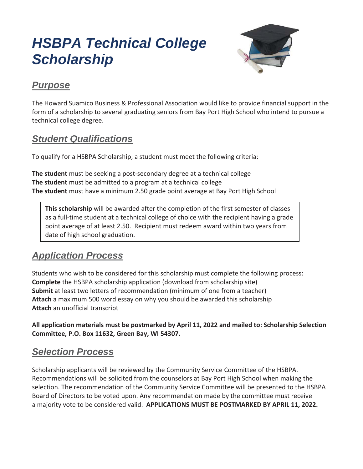# *HSBPA Technical College Scholarship*



#### *Purpose*

The Howard Suamico Business & Professional Association would like to provide financial support in the form of a scholarship to several graduating seniors from Bay Port High School who intend to pursue a technical college degree.

#### *Student Qualifications*

To qualify for a HSBPA Scholarship, a student must meet the following criteria:

The student must be seeking a post-secondary degree at a technical college The student must be admitted to a program at a technical college The student must have a minimum 2.50 grade point average at Bay Port High School

This scholarship will be awarded after the completion of the first semester of classes as a full-time student at a technical college of choice with the recipient having a grade point average of at least 2.50. Recipient must redeem award within two years from date of high school graduation.

### *Application Process*

Students who wish to be considered for this scholarship must complete the following process: **Complete** the HSBPA scholarship application (download from scholarship site) **Submit** at least two letters of recommendation (minimum of one from a teacher) Attach a maximum 500 word essay on why you should be awarded this scholarship **Attach** an unofficial transcript

**All application materials must be postmarked by April 11, 2022 and mailed to: Scholarship Selection Committee, P.O. Box 11632, Green Bay, WI 54307͘**

### *Selection Process*

Scholarship applicants will be reviewed by the Community Service Committee of the HSBPA. Recommendations will be solicited from the counselors at Bay Port High School when making the selection. The recommendation of the Community Service Committee will be presented to the HSBPA Board of Directors to be voted upon. Any recommendation made by the committee must receive a majority vote to be considered valid. APPLICATIONS MUST BE POSTMARKED BY APRIL 11, 2022.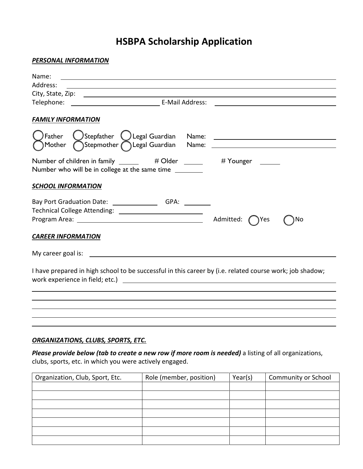## **HSBPA Scholarship Application**

#### *PERSONAL INFORMATION*

| Name:                                                                                                                                                                                                                                     |                         |                         |                                                                                                                        |
|-------------------------------------------------------------------------------------------------------------------------------------------------------------------------------------------------------------------------------------------|-------------------------|-------------------------|------------------------------------------------------------------------------------------------------------------------|
| Address:<br>the control of the control of the control of the control of the control of the control of the control of the control of the control of the control of the control of the control of the control of the control of the control |                         |                         |                                                                                                                        |
| City, State, Zip: 2008. 2008. 2009. 2009. 2012. 2014. 2014. 2014. 2014. 2014. 2014. 2014. 2014. 2014. 2014. 20                                                                                                                            |                         |                         |                                                                                                                        |
|                                                                                                                                                                                                                                           |                         |                         |                                                                                                                        |
| <b>FAMILY INFORMATION</b>                                                                                                                                                                                                                 |                         |                         |                                                                                                                        |
| )Stepfather<br>Father<br>Stepmother Legal Guardian Name:<br>Mother                                                                                                                                                                        | ULegal Guardian Name:   |                         | <u> 1989 - Johann Stoff, deutscher Stoffen und der Stoffen und der Stoffen und der Stoffen und der Stoffen und der</u> |
| Number of children in family _______ # Older _____<br>Number who will be in college at the same time _________                                                                                                                            |                         | # Younger $\frac{1}{2}$ |                                                                                                                        |
| <b>SCHOOL INFORMATION</b>                                                                                                                                                                                                                 |                         |                         |                                                                                                                        |
| Bay Port Graduation Date: ___________________GPA: _________                                                                                                                                                                               |                         | Admitted:<br>)Yes       | No                                                                                                                     |
| <b>CAREER INFORMATION</b>                                                                                                                                                                                                                 |                         |                         |                                                                                                                        |
|                                                                                                                                                                                                                                           |                         |                         |                                                                                                                        |
| I have prepared in high school to be successful in this career by (i.e. related course work; job shadow;                                                                                                                                  |                         |                         |                                                                                                                        |
|                                                                                                                                                                                                                                           |                         |                         |                                                                                                                        |
|                                                                                                                                                                                                                                           |                         |                         |                                                                                                                        |
| <b>ORGANIZATIONS, CLUBS, SPORTS, ETC.</b>                                                                                                                                                                                                 |                         |                         |                                                                                                                        |
| Please provide below (tab to create a new row if more room is needed) a listing of all organizations,                                                                                                                                     |                         |                         |                                                                                                                        |
| clubs, sports, etc. in which you were actively engaged.                                                                                                                                                                                   |                         |                         |                                                                                                                        |
| Organization, Club, Sport, Etc.                                                                                                                                                                                                           | Role (member, position) | Year(s)                 | <b>Community or School</b>                                                                                             |

| Year(s)                 | Community or School |
|-------------------------|---------------------|
|                         |                     |
|                         |                     |
|                         |                     |
|                         |                     |
|                         |                     |
|                         |                     |
|                         |                     |
| Role (member, position) |                     |